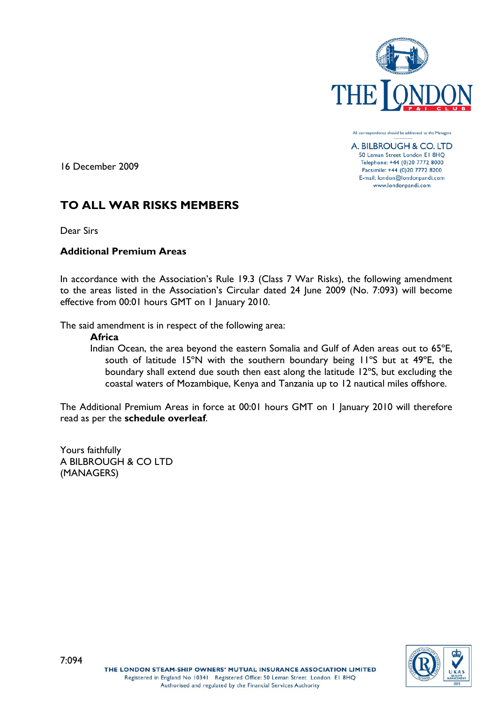

All correspondence should be addressed to the Managers

A. BILBROUGH & CO. LTD 50 Leman Street London El 8HQ Telephone: +44 (0)20 7772 8000 Facsimile: +44 (0)20 7772 8200 E-mail: london@londonpandi.com www.londonpandi.com

16 December 2009

# **TO ALL WAR RISKS MEMBERS**

Dear Sirs

# **Additional Premium Areas**

In accordance with the Association's Rule 19.3 (Class 7 War Risks), the following amendment to the areas listed in the Association's Circular dated 24 June 2009 (No. 7:093) will become effective from 00:01 hours GMT on 1 January 2010.

The said amendment is in respect of the following area:

## **Africa**

Indian Ocean, the area beyond the eastern Somalia and Gulf of Aden areas out to 65ºE, south of latitude 15ºN with the southern boundary being 11ºS but at 49ºE, the boundary shall extend due south then east along the latitude 12ºS, but excluding the coastal waters of Mozambique, Kenya and Tanzania up to 12 nautical miles offshore.

The Additional Premium Areas in force at 00:01 hours GMT on 1 January 2010 will therefore read as per the **schedule overleaf**.

Yours faithfully A BILBROUGH & CO LTD (MANAGERS)